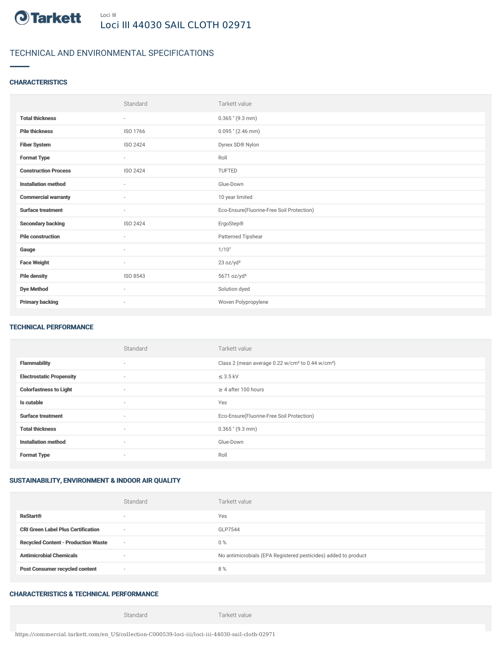

# TECHNICAL AND ENVIRONMENTAL SPECIFICATIONS

### **CHARACTERISTICS**

|                             | Standard                 | Tarkett value                             |
|-----------------------------|--------------------------|-------------------------------------------|
| <b>Total thickness</b>      | $\sim$                   | $0.365$ " (9.3 mm)                        |
| <b>Pile thickness</b>       | ISO 1766                 | $0.095$ " (2.46 mm)                       |
| <b>Fiber System</b>         | ISO 2424                 | Dynex SD® Nylon                           |
| <b>Format Type</b>          | $\sim$                   | Roll                                      |
| <b>Construction Process</b> | ISO 2424                 | <b>TUFTED</b>                             |
| <b>Installation method</b>  | $\sim$                   | Glue-Down                                 |
| <b>Commercial warranty</b>  | ٠                        | 10 year limited                           |
| <b>Surface treatment</b>    | $\sim$                   | Eco-Ensure(Fluorine-Free Soil Protection) |
| <b>Secondary backing</b>    | ISO 2424                 | ErgoStep®                                 |
| <b>Pile construction</b>    | $\sim$                   | Patterned Tipshear                        |
| Gauge                       | ä,                       | 1/10"                                     |
| <b>Face Weight</b>          | $\overline{\phantom{a}}$ | 23 oz/yd <sup>2</sup>                     |
| <b>Pile density</b>         | ISO 8543                 | 5671 oz/yd <sup>3</sup>                   |
| <b>Dye Method</b>           | $\sim$                   | Solution dyed                             |
| <b>Primary backing</b>      | $\overline{\phantom{a}}$ | Woven Polypropylene                       |

#### TECHNICAL PERFORMANCE

|                                 | Standard                 | Tarkett value                                                            |
|---------------------------------|--------------------------|--------------------------------------------------------------------------|
| <b>Flammability</b>             | $\overline{\phantom{a}}$ | Class 2 (mean average 0.22 w/cm <sup>2</sup> to 0.44 w/cm <sup>2</sup> ) |
| <b>Electrostatic Propensity</b> | $\overline{\phantom{a}}$ | $\leq$ 3.5 kV                                                            |
| <b>Colorfastness to Light</b>   | $\overline{\phantom{a}}$ | $\geq 4$ after 100 hours                                                 |
| Is cutable                      | $\overline{\phantom{a}}$ | Yes                                                                      |
| <b>Surface treatment</b>        | $\overline{\phantom{a}}$ | Eco-Ensure(Fluorine-Free Soil Protection)                                |
| <b>Total thickness</b>          | $\overline{\phantom{a}}$ | $0.365$ " (9.3 mm)                                                       |
| <b>Installation method</b>      | $\overline{\phantom{a}}$ | Glue-Down                                                                |
| <b>Format Type</b>              | $\overline{\phantom{a}}$ | Roll                                                                     |

### SUSTAINABILITY, ENVIRONMENT & INDOOR AIR QUALITY

|                                            | Standard                 | Tarkett value                                                  |
|--------------------------------------------|--------------------------|----------------------------------------------------------------|
| <b>ReStart®</b>                            | $\overline{\phantom{a}}$ | Yes                                                            |
| <b>CRI Green Label Plus Certification</b>  | $\sim$                   | GLP7544                                                        |
| <b>Recycled Content - Production Waste</b> | $\sim$                   | $0\%$                                                          |
| <b>Antimicrobial Chemicals</b>             |                          | No antimicrobials (EPA Registered pesticides) added to product |
| <b>Post Consumer recycled content</b>      | $\sim$                   | 8%                                                             |

## CHARACTERISTICS & TECHNICAL PERFORMANCE

Standard Tarkett value